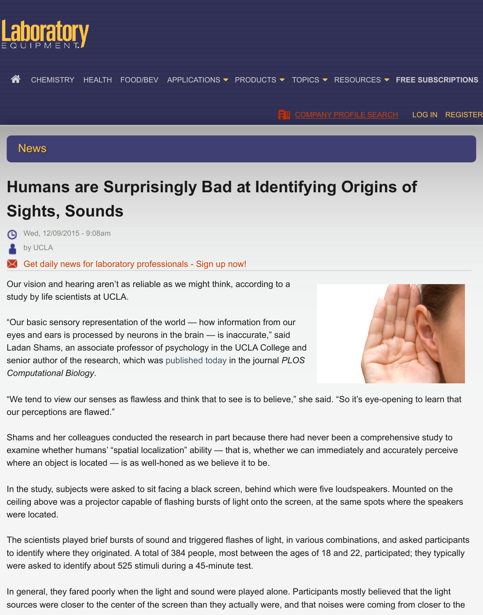# **[N](http://www.laboratoryequipment.com/)[ews](http://www.laboratoryequipment.com/topics/chemistry)**

# **Humans are Surprisingly Bad at Ident[ifying Origins](http://www.laboratoryequipment.com/company-directory) o[f](http://www.laboratoryequipment.com/user/login?destination=node/163661) Sights, Sounds**

Wed, 12/09/2015 - 9:08am

by UCLA

 $\blacktriangleright$  Get daily news for laboratory professionals - Sign up now!

Our vision and hearing aren't as reliable as we might think, according to a study by life scientists at UCLA.

"Our basic sensory representation of the world — how information from our eyes and ears is processed by neurons in the brain — is inaccurate," said Lad[an Shams, an associate professor of psychology in the UC](http://subscribe.advantagemedia.com/le_ods/landing.aspx?cmpid=textadincontent)LA College and senior author of the research, which was published today in the journal *PLOS Computational Biology*.



"We tend to view our senses as flawless and think that to see is to believe," she said. "So it's eye-opening our perceptions are flawed."

Shams and her colleagues conducted the research in part because there had never been a comprehensity examine whether humans' "spatial localiz[ation" ability — t](http://journals.plos.org/ploscompbiol/article?id=10.1371/journal.pcbi.1004649)hat is, whether we can immediately and accurately where an object is located — is as well-honed as we believe it to be.

In the study, subjects were asked to sit facing a black screen, behind which were five loudspeakers. Mount ceiling above was a projector capable of flashing bursts of light onto the screen, at the same spots where were located.

The scientists played brief bursts of sound and triggered flashes of light, in various combinations, and asle to identify where they originated. A total of 384 people, most between the ages of 18 and 22, participated were asked to identify about 525 stimuli during a 45-minute test.

In general, they fared poorly when the light and sound were played alone. Participants mostly believed the light sources were closer to the center of the screen than they actually were, and that noises were coming from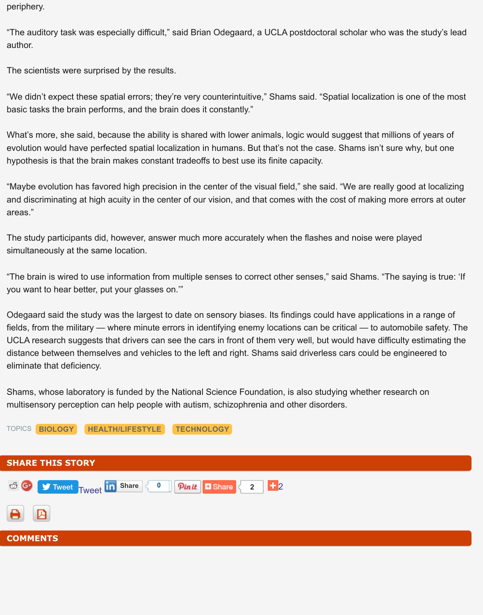"We didn't expect these spatial errors; they're very counterintuitive," Shams said. "Spatial localization is o basic tasks the brain performs, and the brain does it constantly."

What's more, she said, because the ability is shared with lower animals, logic would suggest that millions evolution would have perfected spatial localization in humans. But that's not the case. Shams isn't sure w hypothesis is that the brain makes constant tradeoffs to best use its finite capacity.

"Maybe evolution has favored high precision in the center of the visual field," she said. "We are really goot and discriminating at high acuity in the center of our vision, and that comes with the cost of making more areas."

The study participants did, however, answer much more accurately when the flashes and noise were play simultaneously at the same location.

"The brain is wired to use information from multiple senses to correct other senses," said Shams. "The sa you want to hear better, put your glasses on.'"

Odegaard said the study was the largest to date on sensory biases. Its findings could have applications in fields, from the military — where minute errors in identifying enemy locations can be critical — to automol UCLA research suggests that drivers can see the cars in front of them very well, but would have difficulty distance between themselves and vehicles to the left and right. Shams said driverless cars could be engineer eliminate that deficiency.

Shams, whose laboratory is funded by the National Science Foundation, is also studying whether researd multisensory perception can help people with autism, schizophrenia and other disorders.

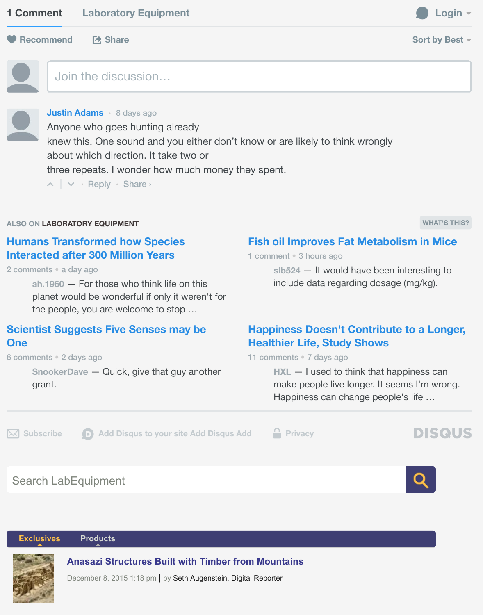**Justin A[dams](https://disqus.com/home/forums/labequip/)** • 8 days ago [Anyone](http://disqus.com/embed/comments/?base=default&version=2ce544cb77773746d6fd586c685194ef&f=labequip&t_i=node%2F163661&t_u=http%3A%2F%2Fwww.laboratoryequipment.com%2Fnews%2F2015%2F12%2Fhumans-are-surprisingly-bad-identifying-origins-sights-sounds&t_e=Humans%20are%20Surprisingly%20Bad%20at%20Identifying%20Origins%20of%20Sights%2C%20Sounds&t_d=Humans%20are%20Surprisingly%20Bad%20at%20Identifying%20Origins%20of%20Sights%2C%20Sounds&t_t=Humans%20are%20Surprisingly%20Bad%20at%20Identifying%20Origins%20of%20Sights%2C%20Sounds&s_o=default&l=en#) [who goes](http://disqus.com/embed/comments/?base=default&version=2ce544cb77773746d6fd586c685194ef&f=labequip&t_i=node%2F163661&t_u=http%3A%2F%2Fwww.laboratoryequipment.com%2Fnews%2F2015%2F12%2Fhumans-are-surprisingly-bad-identifying-origins-sights-sounds&t_e=Humans%20are%20Surprisingly%20Bad%20at%20Identifying%20Origins%20of%20Sights%2C%20Sounds&t_d=Humans%20are%20Surprisingly%20Bad%20at%20Identifying%20Origins%20of%20Sights%2C%20Sounds&t_t=Humans%20are%20Surprisingly%20Bad%20at%20Identifying%20Origins%20of%20Sights%2C%20Sounds&s_o=default&l=en#) hunting already knew this. One sound and you either don't know or are likely to think wrongly about which direction. It take two or three repeats. I wonder how much money they spent.

 $\lambda$   $\vee$   $\cdot$  Reply  $\cdot$  Share  $\cdot$ 

#### **[ALSO ON](https://disqus.com/by/Watching_ja/) LABORATORY EQUIPMENT**

| <b>Humans Transformed how Species</b><br><b>Interacted after 300 Million Years</b><br>2 comments a day ago<br>ah. $1960$ - For those who think life on this<br>planet would be wonderful if only it weren't for<br>the people, you are welcome to stop | <b>Fish oil Improves Fat Metabolisr</b><br>1 comment 3 hours ago<br>slb524 - It would have been inte<br>include data regarding dosage (n                                                                             |
|--------------------------------------------------------------------------------------------------------------------------------------------------------------------------------------------------------------------------------------------------------|----------------------------------------------------------------------------------------------------------------------------------------------------------------------------------------------------------------------|
| <b>Scientist Suggests Five Senses may be</b><br><b>One</b><br>6 comments • 2 days ago<br>SnookerDave - Quick, give that guy another<br>grant.                                                                                                          | <b>Happiness Doesn't Contribute to</b><br><b>Healthier Life, Study Shows</b><br>11 comments • 7 days ago<br>$HXL - I$ used to think that happi<br>make people live longer. It seems<br>Happiness can change people's |
| Add Disqus to your site Add Disqus Add<br><b>Subscribe</b>                                                                                                                                                                                             | <b>Privacy</b>                                                                                                                                                                                                       |
| <b>Search LabEquipment</b>                                                                                                                                                                                                                             |                                                                                                                                                                                                                      |

#### **Exclusives Products**

**Anasazi Structures Built with Timber from Mountains**

December 8, 2015 1:18 pm | by Seth Augenstein, Digital Reporter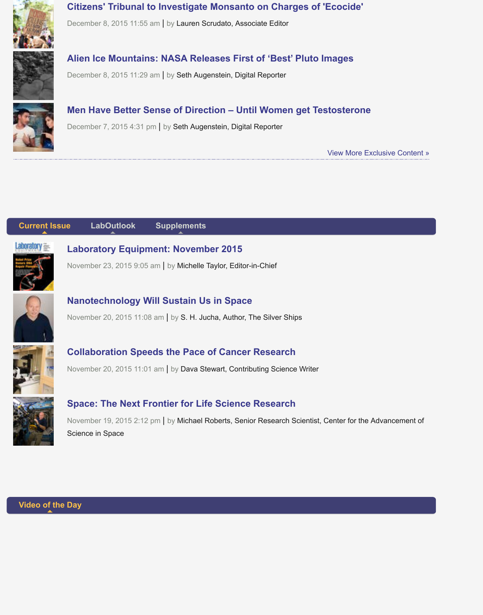

#### **Men Have Better Sense of Direction – Until Women get Testosterone**

December 7, 2015 4:31 pm | by Seth Augenstein, Digital Reporter

View More Exclusive Con

**[Current Is](http://www.laboratoryequipment.com/news/2015/12/men-have-better-sense-direction-%E2%80%93-until-women-get-testosterone)sue LabOutlook Supplements**



**Laboratory Equipment: November 2015**

November 23, 2015 9:05 am | by Michelle Taylor, Editor-in-Chief



#### **Nanotechnology Will Sustain Us in Space**

[Nov](http://www.laboratoryequipment.com/news/2015/12/humans-are-surprisingly-bad-identifying-origins-sights-sounds?qt-print_issue_laboutlook_supplemen=0#qt-print_issue_laboutlook_supplemen)[ember 20, 2015 11:](http://www.laboratoryequipment.com/news/2015/12/humans-are-surprisingly-bad-identifying-origins-sights-sounds?qt-print_issue_laboutlook_supplemen=1#qt-print_issue_laboutlook_supplemen)0[8 am | by S. H. Juch](http://www.laboratoryequipment.com/news/2015/12/humans-are-surprisingly-bad-identifying-origins-sights-sounds?qt-print_issue_laboutlook_supplemen=2#qt-print_issue_laboutlook_supplemen)a, Author, The Silver Ships



#### **Collaboration Speeds the Pace of Cancer Research**

November 20, 2015 11:01 am | by Dava Stewart, Contributing Science Writer



## **Space: The Next Frontier for Life Science Research**

November 19, 2015 2:12 pm | by Michael Roberts, Senior Research Scientist, Center for the Advanceme [Science in Space](http://digital.laboratoryequipment.com/labequipment/november_2015?pg=26#pg26)

**[Video of t](http://www.laboratoryequipment.com/articles/2015/11/space-next-frontier-life-science-research)he Day**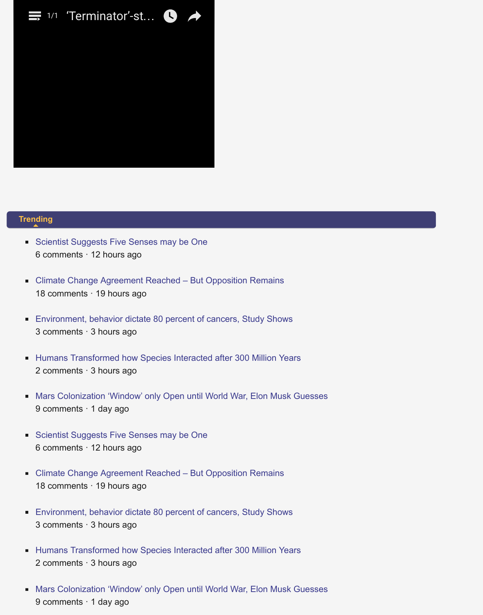# **Trending**

- Scientist Suggests Five Senses may be One 6 comments · 12 hours ago
- Climate Change Agreement Reached But Opposition Remains [18 com](http://www.laboratoryequipment.com/news/2015/12/humans-are-surprisingly-bad-identifying-origins-sights-sounds?qt-most_popular=0#qt-most_popular)ments · 19 hours ago
- [Environment, behavior dictate 80 percent of c](http://www.laboratoryequipment.com/news/2015/12/scientist-suggests-five-senses-may-be-one)ancers, Study Shows 3 comments · 3 hours ago
- [Humans Transformed how Species Interacted after 300 Million Y](http://www.laboratoryequipment.com/news/2015/12/climate-change-agreement-reached-%E2%80%93-opposition-remains)ears п 2 comments · 3 hours ago
- [Mars Colonization 'Window' only Open until World War, Elon Musk](http://www.laboratoryequipment.com/news/2015/12/environment-behavior-dictate-80-percent-cancers-study-shows) Guesses  $\blacksquare$ 9 comments · 1 day ago
- [Scientist Suggests Five Senses may be One](http://www.laboratoryequipment.com/news/2015/12/humans-transformed-how-species-interacted-after-300-million-years) 6 comments · 12 hours ago
- [Climate Change Agreement Reached But Opposition Remains](http://www.laboratoryequipment.com/news/2015/12/mars-colonization-window-only-open-until-world-war-elon-musk-guesses) 18 comments · 19 hours ago
- [Environment, behavior dictate 80 percent of c](http://www.laboratoryequipment.com/news/2015/12/scientist-suggests-five-senses-may-be-one)ancers, Study Shows 3 comments · 3 hours ago
- **[Humans Transformed how Species Interacted after 300 Million Y](http://www.laboratoryequipment.com/news/2015/12/climate-change-agreement-reached-%E2%80%93-opposition-remains)ears** 2 comments · 3 hours ago
- [Mars Colonization 'Window' only Open until World War, Elon Musk](http://www.laboratoryequipment.com/news/2015/12/environment-behavior-dictate-80-percent-cancers-study-shows) Guesses  $\blacksquare$ 9 comments · 1 day ago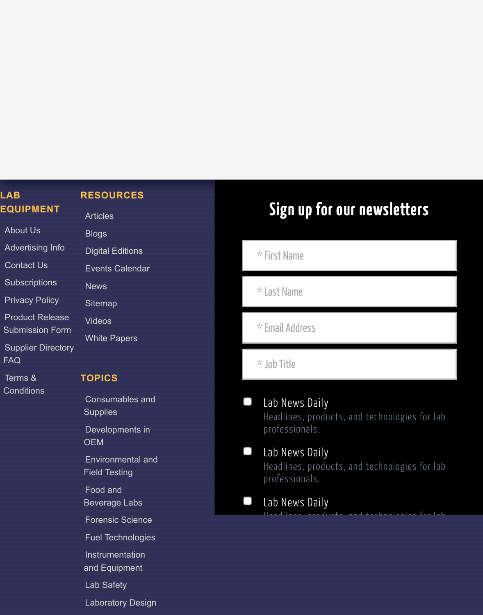# **LAB EQUIPMENT**

# **RESOURCES**

| EQUIPMENI               | <b>Articles</b>         |
|-------------------------|-------------------------|
| <b>About Us</b>         | <b>Blogs</b>            |
| <b>Advertising Info</b> | <b>Digital Editions</b> |
| <b>Contact Us</b>       | <b>Events Calendar</b>  |
| <b>Subscriptions</b>    | <b>News</b>             |
| <b>Privacy Policy</b>   | <b>Sitemap</b>          |
| Product Releas          |                         |

## **[TOPICS](http://www.laboratoryequipment.com/sitemap)**

[Developments](http://www.laboratoryequipment.com/white-papers) in OEM

Environmental and Field Testing

[Food and](http://www.laboratoryequipment.com/topics/consumables-and-supplies)

Beverage Labs

[Forensic Science](http://www.laboratoryequipment.com/topics/developments-oem)

Fuel Technologies

# **Sign up for our newslett** \* First Name

\* Last Name

\* Email Address

\* Job Title

Lab News Daily Headlines, products, and technologie professionals.

# Lab News Daily

Headlines, products, and technologie professionals.

Headlines, products, and technologies for lab

Lab News Daily